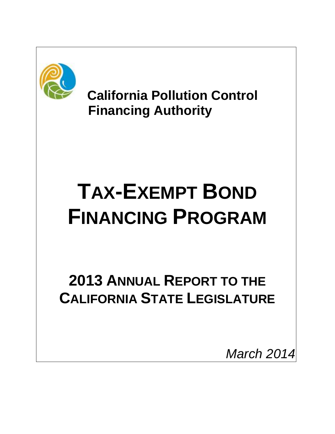

 **California Pollution Control Financing Authority** 

# **TAX-EXEMPT BOND FINANCING PROGRAM**

# **2013 ANNUAL REPORT TO THE CALIFORNIA STATE LEGISLATURE**

*March 2014*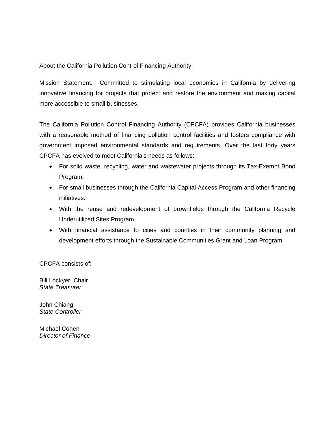About the California Pollution Control Financing Authority:

Mission Statement: Committed to stimulating local economies in California by delivering innovative financing for projects that protect and restore the environment and making capital more accessible to small businesses.

The California Pollution Control Financing Authority (CPCFA) provides California businesses with a reasonable method of financing pollution control facilities and fosters compliance with government imposed environmental standards and requirements. Over the last forty years CPCFA has evolved to meet California's needs as follows:

- For solid waste, recycling, water and wastewater projects through its Tax-Exempt Bond Program.
- For small businesses through the California Capital Access Program and other financing initiatives.
- With the reuse and redevelopment of brownfields through the California Recycle Underutilized Sites Program.
- With financial assistance to cities and counties in their community planning and development efforts through the Sustainable Communities Grant and Loan Program.

CPCFA consists of:

Bill Lockyer, Chair *State Treasurer*

John Chiang *State Controller*

Michael Cohen *Director of Finance*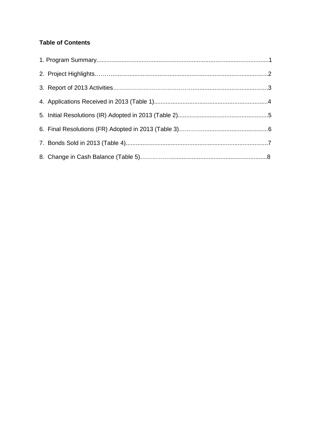#### **Table of Contents**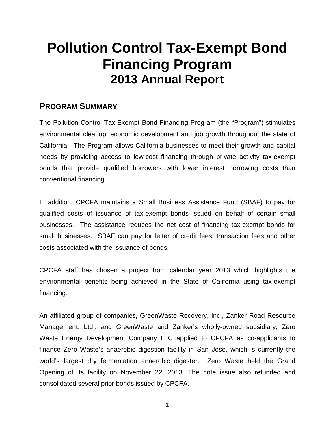# **Pollution Control Tax-Exempt Bond Financing Program 2013 Annual Report**

# **PROGRAM SUMMARY**

The Pollution Control Tax-Exempt Bond Financing Program (the "Program") stimulates environmental cleanup, economic development and job growth throughout the state of California. The Program allows California businesses to meet their growth and capital needs by providing access to low-cost financing through private activity tax-exempt bonds that provide qualified borrowers with lower interest borrowing costs than conventional financing.

In addition, CPCFA maintains a Small Business Assistance Fund (SBAF) to pay for qualified costs of issuance of tax-exempt bonds issued on behalf of certain small businesses. The assistance reduces the net cost of financing tax-exempt bonds for small businesses. SBAF can pay for letter of credit fees, transaction fees and other costs associated with the issuance of bonds.

CPCFA staff has chosen a project from calendar year 2013 which highlights the environmental benefits being achieved in the State of California using tax-exempt financing.

An affiliated group of companies, GreenWaste Recovery, Inc., Zanker Road Resource Management, Ltd., and GreenWaste and Zanker's wholly-owned subsidiary, Zero Waste Energy Development Company LLC applied to CPCFA as co-applicants to finance Zero Waste's anaerobic digestion facility in San Jose, which is currently the world's largest dry fermentation anaerobic digester. Zero Waste held the Grand Opening of its facility on November 22, 2013. The note issue also refunded and consolidated several prior bonds issued by CPCFA.

<sup>1</sup>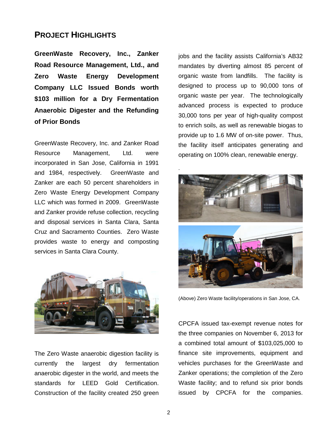## **PROJECT HIGHLIGHTS**

**GreenWaste Recovery, Inc., Zanker Road Resource Management, Ltd., and Zero Waste Energy Development Company LLC Issued Bonds worth \$103 million for a Dry Fermentation Anaerobic Digester and the Refunding of Prior Bonds**

GreenWaste Recovery, Inc. and Zanker Road Resource Management, Ltd. were incorporated in San Jose, California in 1991 and 1984, respectively. GreenWaste and Zanker are each 50 percent shareholders in Zero Waste Energy Development Company LLC which was formed in 2009. GreenWaste and Zanker provide refuse collection, recycling and disposal services in Santa Clara, Santa Cruz and Sacramento Counties. Zero Waste provides waste to energy and composting services in Santa Clara County.



The Zero Waste anaerobic digestion facility is currently the largest dry fermentation anaerobic digester in the world, and meets the standards for LEED Gold Certification. Construction of the facility created 250 green jobs and the facility assists California's AB32 mandates by diverting almost 85 percent of organic waste from landfills. The facility is designed to process up to 90,000 tons of organic waste per year. The technologically advanced process is expected to produce 30,000 tons per year of high-quality compost to enrich soils, as well as renewable biogas to provide up to 1.6 MW of on-site power. Thus, the facility itself anticipates generating and operating on 100% clean, renewable energy.



(Above) Zero Waste facility/operations in San Jose, CA.

CPCFA issued tax-exempt revenue notes for the three companies on November 6, 2013 for a combined total amount of \$103,025,000 to finance site improvements, equipment and vehicles purchases for the GreenWaste and Zanker operations; the completion of the Zero Waste facility; and to refund six prior bonds issued by CPCFA for the companies.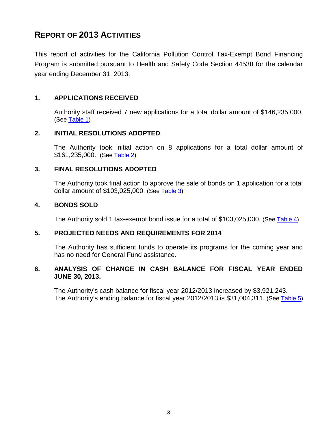# **REPORT OF 2013 ACTIVITIES**

This report of activities for the California Pollution Control Tax-Exempt Bond Financing Program is submitted pursuant to Health and Safety Code Section 44538 for the calendar year ending December 31, 2013.

#### **1. APPLICATIONS RECEIVED**

Authority staff received 7 new applications for a total dollar amount of \$146,235,000. (See [Table 1\)](#page-6-0)

#### **2. INITIAL RESOLUTIONS ADOPTED**

The Authority took initial action on 8 applications for a total dollar amount of \$161,235,000. (See [Table 2\)](#page-7-0)

#### **3. FINAL RESOLUTIONS ADOPTED**

The Authority took final action to approve the sale of bonds on 1 application for a total dollar amount of \$103,025,000. (See [Table 3\)](#page-8-0)

#### **4. BONDS SOLD**

The Authority sold 1 tax-exempt bond issue for a total of \$103,025,000. (See [Table 4\)](#page-9-0)

#### **5. PROJECTED NEEDS AND REQUIREMENTS FOR 2014**

The Authority has sufficient funds to operate its programs for the coming year and has no need for General Fund assistance.

#### **6. ANALYSIS OF CHANGE IN CASH BALANCE FOR FISCAL YEAR ENDED JUNE 30, 2013.**

The Authority's cash balance for fiscal year 2012/2013 increased by \$3,921,243. The Authority's ending balance for fiscal year 2012/2013 is \$31,004,311. (See [Table 5\)](#page-10-0)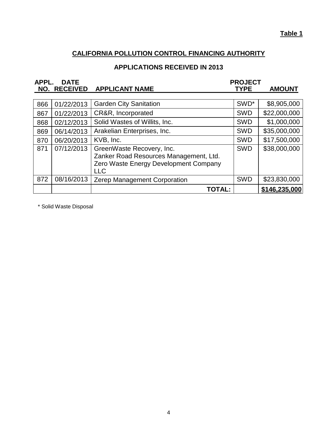#### **Table 1**

# **CALIFORNIA POLLUTION CONTROL FINANCING AUTHORITY**

## **APPLICATIONS RECEIVED IN 2013**

<span id="page-6-0"></span>

| APPL. | <b>DATE</b>         |                                                                                                                            | <b>PROJECT</b> |               |
|-------|---------------------|----------------------------------------------------------------------------------------------------------------------------|----------------|---------------|
|       | <b>NO. RECEIVED</b> | <b>APPLICANT NAME</b>                                                                                                      | <b>TYPE</b>    | <b>AMOUNT</b> |
|       |                     |                                                                                                                            |                |               |
| 866   | 01/22/2013          | <b>Garden City Sanitation</b>                                                                                              | SWD*           | \$8,905,000   |
| 867   | 01/22/2013          | CR&R, Incorporated                                                                                                         | <b>SWD</b>     | \$22,000,000  |
| 868   | 02/12/2013          | Solid Wastes of Willits, Inc.                                                                                              | <b>SWD</b>     | \$1,000,000   |
| 869   | 06/14/2013          | Arakelian Enterprises, Inc.                                                                                                | <b>SWD</b>     | \$35,000,000  |
| 870   | 06/20/2013          | KVB, Inc.                                                                                                                  | <b>SWD</b>     | \$17,500,000  |
| 871   | 07/12/2013          | GreenWaste Recovery, Inc.<br>Zanker Road Resources Management, Ltd.<br>Zero Waste Energy Development Company<br><b>LLC</b> | <b>SWD</b>     | \$38,000,000  |
| 872   | 08/16/2013          | Zerep Management Corporation                                                                                               | <b>SWD</b>     | \$23,830,000  |
|       |                     | TOTAL:                                                                                                                     |                | \$146,235,000 |

\* Solid Waste Disposal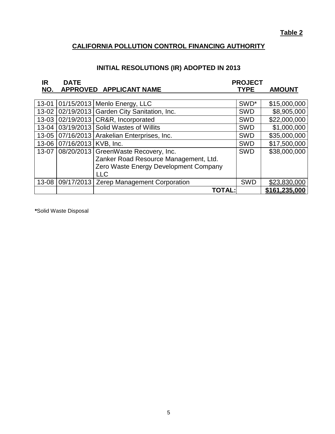### **CALIFORNIA POLLUTION CONTROL FINANCING AUTHORITY**

# **INITIAL RESOLUTIONS (IR) ADOPTED IN 2013**

<span id="page-7-0"></span>

| IR    | <b>DATE</b>                |                                                  | <b>PROJECT</b> |               |
|-------|----------------------------|--------------------------------------------------|----------------|---------------|
| NO.   |                            | APPROVED APPLICANT NAME                          | <b>TYPE</b>    | <b>AMOUNT</b> |
|       |                            |                                                  |                |               |
| 13-01 |                            | $ 01/15/2013 $ Menlo Energy, LLC                 | SWD*           | \$15,000,000  |
|       |                            | 13-02 02/19/2013 Garden City Sanitation, Inc.    | <b>SWD</b>     | \$8,905,000   |
|       |                            | 13-03 02/19/2013 CR&R, Incorporated              | <b>SWD</b>     | \$22,000,000  |
|       |                            | 13-04 03/19/2013 Solid Wastes of Willits         | <b>SWD</b>     | \$1,000,000   |
|       |                            | 13-05   07/16/2013   Arakelian Enterprises, Inc. | <b>SWD</b>     | \$35,000,000  |
|       | 13-06 07/16/2013 KVB, Inc. |                                                  | <b>SWD</b>     | \$17,500,000  |
| 13-07 |                            | 08/20/2013 GreenWaste Recovery, Inc.             | <b>SWD</b>     | \$38,000,000  |
|       |                            | Zanker Road Resource Management, Ltd.            |                |               |
|       |                            | Zero Waste Energy Development Company            |                |               |
|       |                            | <b>LLC</b>                                       |                |               |
| 13-08 |                            | 09/17/2013   Zerep Management Corporation        | <b>SWD</b>     | \$23,830,000  |
|       |                            | <b>TOTAL:</b>                                    |                | \$161,235,000 |

 **\***Solid Waste Disposal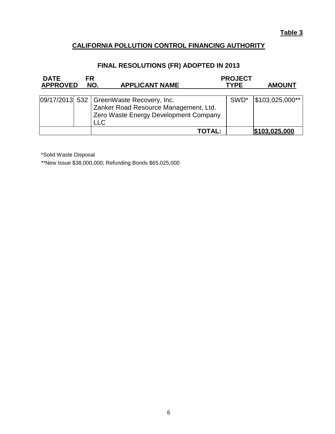#### **CALIFORNIA POLLUTION CONTROL FINANCING AUTHORITY**

#### **FINAL RESOLUTIONS (FR) ADOPTED IN 2013**

<span id="page-8-0"></span>

| <b>DATE</b><br><b>APPROVED</b> | FR | NO.<br><b>APPLICANT NAME</b>                                                                                                        | <b>PROJECT</b><br><b>TYPE</b> | <b>AMOUNT</b>   |
|--------------------------------|----|-------------------------------------------------------------------------------------------------------------------------------------|-------------------------------|-----------------|
|                                |    | 09/17/2013 532   GreenWaste Recovery, Inc.<br>Zanker Road Resource Management, Ltd.<br>Zero Waste Energy Development Company<br>LLC | SWD <sup>*</sup>              | \$103,025,000** |
|                                |    | TOTAL:                                                                                                                              |                               | \$103,025,000   |

\*Solid Waste Disposal

\*\*New Issue \$38,000,000; Refunding Bonds \$65,025,000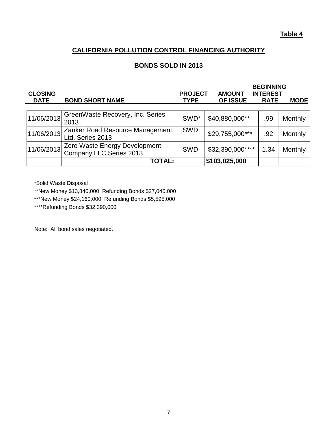#### **CALIFORNIA POLLUTION CONTROL FINANCING AUTHORITY**

#### **BONDS SOLD IN 2013**

<span id="page-9-0"></span>

| <b>CLOSING</b><br><b>DATE</b> | <b>BOND SHORT NAME</b>                                   | <b>PROJECT</b><br><b>TYPE</b> | <b>AMOUNT</b><br>OF ISSUE | <b>BEGINNING</b><br><b>INTEREST</b><br><b>RATE</b> | <b>MODE</b>    |
|-------------------------------|----------------------------------------------------------|-------------------------------|---------------------------|----------------------------------------------------|----------------|
| 11/06/2013                    | GreenWaste Recovery, Inc. Series<br>2013                 | SWD <sup>*</sup>              | \$40,880,000**            | .99                                                | <b>Monthly</b> |
| 11/06/2013                    | Zanker Road Resource Management,<br>Ltd. Series 2013     | <b>SWD</b>                    | \$29,755,000***           | .92                                                | Monthly        |
| 11/06/2013                    | Zero Waste Energy Development<br>Company LLC Series 2013 | <b>SWD</b>                    | \$32,390,000****          | 1.34                                               | Monthly        |
|                               | <b>TOTAL:</b>                                            |                               | \$103,025,000             |                                                    |                |

\*Solid Waste Disposal

\*\*New Money \$13,840,000; Refunding Bonds \$27,040,000

\*\*\*New Money \$24,160,000; Refunding Bonds \$5,595,000

\*\*\*\*Refunding Bonds \$32,390,000

Note: All bond sales negotiated.